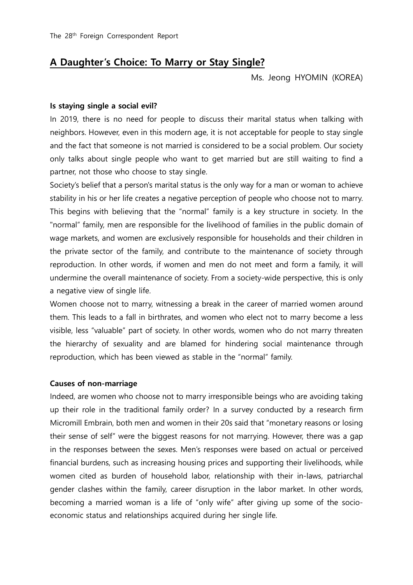## **A Daughter's Choice: To Marry or Stay Single?**

Ms. Jeong HYOMIN (KOREA)

## **Is staying single a social evil?**

In 2019, there is no need for people to discuss their marital status when talking with neighbors. However, even in this modern age, it is not acceptable for people to stay single and the fact that someone is not married is considered to be a social problem. Our society only talks about single people who want to get married but are still waiting to find a partner, not those who choose to stay single.

Society's belief that a person's marital status is the only way for a man or woman to achieve stability in his or her life creates a negative perception of people who choose not to marry. This begins with believing that the "normal" family is a key structure in society. In the "normal" family, men are responsible for the livelihood of families in the public domain of wage markets, and women are exclusively responsible for households and their children in the private sector of the family, and contribute to the maintenance of society through reproduction. In other words, if women and men do not meet and form a family, it will undermine the overall maintenance of society. From a society-wide perspective, this is only a negative view of single life.

Women choose not to marry, witnessing a break in the career of married women around them. This leads to a fall in birthrates, and women who elect not to marry become a less visible, less "valuable" part of society. In other words, women who do not marry threaten the hierarchy of sexuality and are blamed for hindering social maintenance through reproduction, which has been viewed as stable in the "normal" family.

## **Causes of non-marriage**

Indeed, are women who choose not to marry irresponsible beings who are avoiding taking up their role in the traditional family order? In a survey conducted by a research firm Micromill Embrain, both men and women in their 20s said that "monetary reasons or losing their sense of self" were the biggest reasons for not marrying. However, there was a gap in the responses between the sexes. Men's responses were based on actual or perceived financial burdens, such as increasing housing prices and supporting their livelihoods, while women cited as burden of household labor, relationship with their in-laws, patriarchal gender clashes within the family, career disruption in the labor market. In other words, becoming a married woman is a life of "only wife" after giving up some of the socioeconomic status and relationships acquired during her single life.